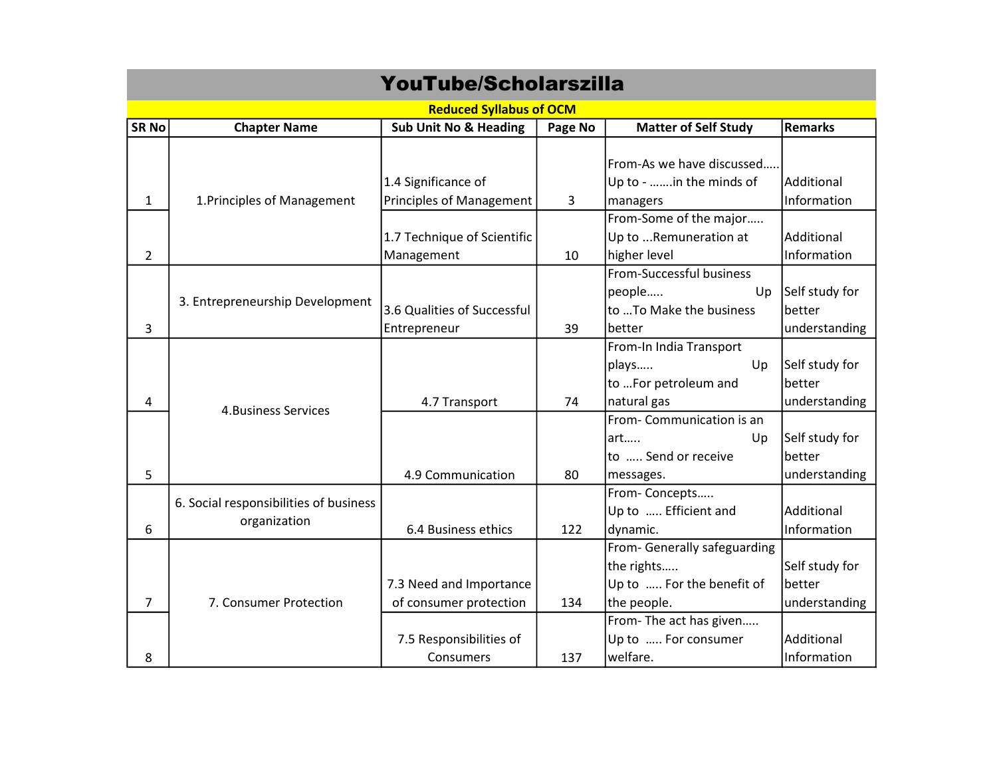| <b>YouTube/Scholarszilla</b>   |                                        |                                  |         |                                                 |                |  |  |  |  |
|--------------------------------|----------------------------------------|----------------------------------|---------|-------------------------------------------------|----------------|--|--|--|--|
| <b>Reduced Syllabus of OCM</b> |                                        |                                  |         |                                                 |                |  |  |  |  |
| <b>SR No</b>                   | <b>Chapter Name</b>                    | <b>Sub Unit No &amp; Heading</b> | Page No | <b>Matter of Self Study</b>                     | <b>Remarks</b> |  |  |  |  |
|                                |                                        |                                  |         | From-As we have discussed                       |                |  |  |  |  |
|                                |                                        | 1.4 Significance of              |         | Up to - in the minds of                         | Additional     |  |  |  |  |
| $\mathbf{1}$                   | 1. Principles of Management            | <b>Principles of Management</b>  | 3       | managers                                        | Information    |  |  |  |  |
|                                |                                        | 1.7 Technique of Scientific      |         | From-Some of the major<br>Up to Remuneration at | Additional     |  |  |  |  |
| $\overline{2}$                 |                                        | Management                       | 10      | higher level                                    | Information    |  |  |  |  |
|                                | 3. Entrepreneurship Development        |                                  |         | From-Successful business                        |                |  |  |  |  |
|                                |                                        |                                  |         | people<br>Up                                    | Self study for |  |  |  |  |
|                                |                                        | 3.6 Qualities of Successful      |         | to  To Make the business                        | better         |  |  |  |  |
| 3                              |                                        | Entrepreneur                     | 39      | better                                          | understanding  |  |  |  |  |
|                                | <b>4. Business Services</b>            |                                  |         | From-In India Transport                         |                |  |  |  |  |
|                                |                                        |                                  |         | plays<br>Up                                     | Self study for |  |  |  |  |
|                                |                                        |                                  |         | to For petroleum and                            | better         |  |  |  |  |
| 4                              |                                        | 4.7 Transport                    | 74      | natural gas                                     | understanding  |  |  |  |  |
|                                |                                        |                                  |         | From-Communication is an                        |                |  |  |  |  |
|                                |                                        |                                  |         | art<br>Up                                       | Self study for |  |  |  |  |
|                                |                                        |                                  |         | to  Send or receive                             | better         |  |  |  |  |
| 5                              |                                        | 4.9 Communication                | 80      | messages.                                       | understanding  |  |  |  |  |
|                                | 6. Social responsibilities of business |                                  |         | From-Concepts                                   |                |  |  |  |  |
|                                | organization                           |                                  |         | Up to  Efficient and                            | Additional     |  |  |  |  |
| 6                              |                                        | 6.4 Business ethics              | 122     | dynamic.                                        | Information    |  |  |  |  |
|                                |                                        |                                  |         | From- Generally safeguarding                    |                |  |  |  |  |
|                                |                                        |                                  |         | the rights                                      | Self study for |  |  |  |  |
|                                |                                        | 7.3 Need and Importance          |         | Up to  For the benefit of                       | better         |  |  |  |  |
| $\overline{7}$                 | 7. Consumer Protection                 | of consumer protection           | 134     | the people.                                     | understanding  |  |  |  |  |
|                                |                                        |                                  |         | From-The act has given                          |                |  |  |  |  |
|                                |                                        | 7.5 Responsibilities of          |         | Up to  For consumer                             | Additional     |  |  |  |  |
| 8                              |                                        | Consumers                        | 137     | welfare.                                        | Information    |  |  |  |  |